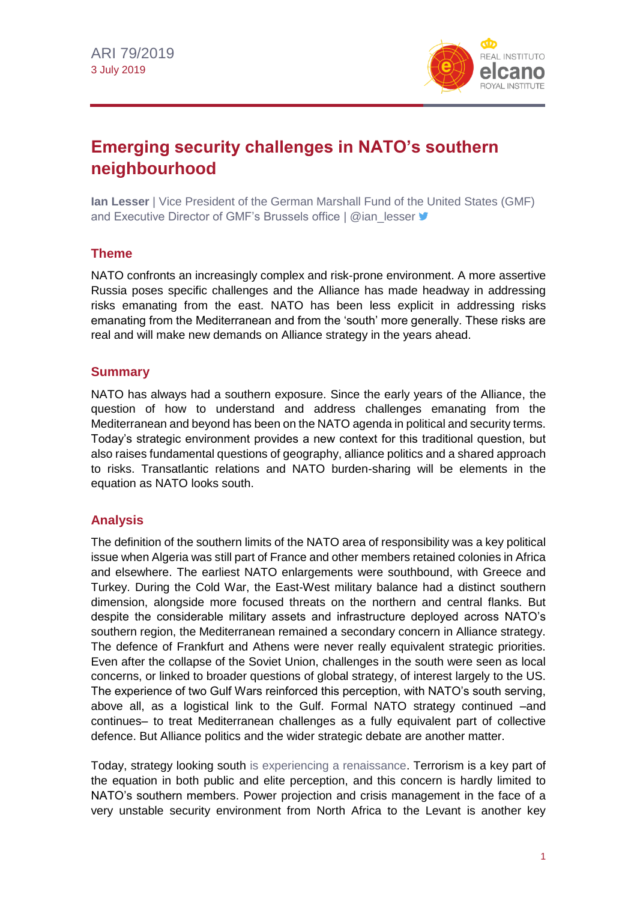

# **Emerging security challenges in NATO's southern neighbourhood**

**Ian Lesser** | Vice President of the German Marshall Fund of the United States (GMF) and Executive Director of GMF's Brussels office | @ian\_lesser

### **Theme**

NATO confronts an increasingly complex and risk-prone environment. A more assertive Russia poses specific challenges and the Alliance has made headway in addressing risks emanating from the east. NATO has been less explicit in addressing risks emanating from the Mediterranean and from the 'south' more generally. These risks are real and will make new demands on Alliance strategy in the years ahead.

### **Summary**

NATO has always had a southern exposure. Since the early years of the Alliance, the question of how to understand and address challenges emanating from the Mediterranean and beyond has been on the NATO agenda in political and security terms. Today's strategic environment provides a new context for this traditional question, but also raises fundamental questions of geography, alliance politics and a shared approach to risks. Transatlantic relations and NATO burden-sharing will be elements in the equation as NATO looks south.

# **Analysis**

The definition of the southern limits of the NATO area of responsibility was a key political issue when Algeria was still part of France and other members retained colonies in Africa and elsewhere. The earliest NATO enlargements were southbound, with Greece and Turkey. During the Cold War, the East-West military balance had a distinct southern dimension, alongside more focused threats on the northern and central flanks. But despite the considerable military assets and infrastructure deployed across NATO's southern region, the Mediterranean remained a secondary concern in Alliance strategy. The defence of Frankfurt and Athens were never really equivalent strategic priorities. Even after the collapse of the Soviet Union, challenges in the south were seen as local concerns, or linked to broader questions of global strategy, of interest largely to the US. The experience of two Gulf Wars reinforced this perception, with NATO's south serving, above all, as a logistical link to the Gulf. Formal NATO strategy continued –and continues– to treat Mediterranean challenges as a fully equivalent part of collective defence. But Alliance politics and the wider strategic debate are another matter.

Today, strategy looking south [is experiencing a renaissance.](http://realinstitutoelcano.org/wps/portal/rielcano_en/event?WCM_GLOBAL_CONTEXT=/elcano/elcano_in/calendar/activities/futuro-alianza-transatlantica-otan-proximos-70-anos) Terrorism is a key part of the equation in both public and elite perception, and this concern is hardly limited to NATO's southern members. Power projection and crisis management in the face of a very unstable security environment from North Africa to the Levant is another key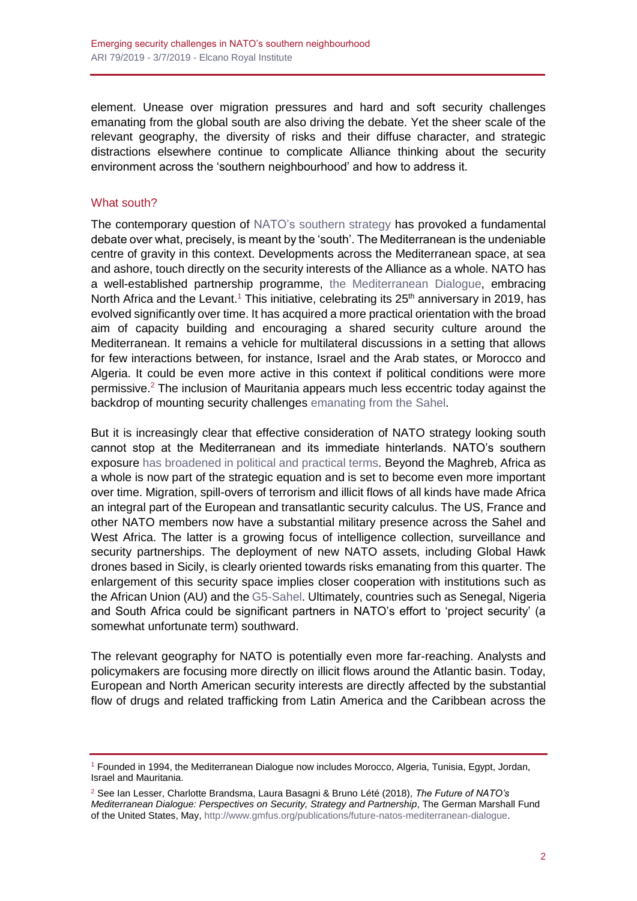element. Unease over migration pressures and hard and soft security challenges emanating from the global south are also driving the debate. Yet the sheer scale of the relevant geography, the diversity of risks and their diffuse character, and strategic distractions elsewhere continue to complicate Alliance thinking about the security environment across the 'southern neighbourhood' and how to address it.

#### What south?

The contemporary question of [NATO's southern strategy](http://realinstitutoelcano.org/wps/portal/rielcano_en/contenido?WCM_GLOBAL_CONTEXT=/elcano/elcano_in/zonas_in/Missiroli-NATO-and-the-south) has provoked a fundamental debate over what, precisely, is meant by the 'south'. The Mediterranean is the undeniable centre of gravity in this context. Developments across the Mediterranean space, at sea and ashore, touch directly on the security interests of the Alliance as a whole. NATO has a well-established partnership programme, [the Mediterranean Dialogue,](https://www.nato.int/cps/en/natohq/topics_52927.htm) embracing North Africa and the Levant.<sup>1</sup> This initiative, celebrating its  $25<sup>th</sup>$  anniversary in 2019, has evolved significantly over time. It has acquired a more practical orientation with the broad aim of capacity building and encouraging a shared security culture around the Mediterranean. It remains a vehicle for multilateral discussions in a setting that allows for few interactions between, for instance, Israel and the Arab states, or Morocco and Algeria. It could be even more active in this context if political conditions were more permissive.<sup>2</sup> The inclusion of Mauritania appears much less eccentric today against the backdrop of mounting security challenges [emanating from the Sahel.](http://www.realinstitutoelcano.org/wps/portal/rielcano_en/contenido?WCM_GLOBAL_CONTEXT=/elcano/elcano_in/zonas_in/ari70-2018-altunagalan-jnim-propaganda-analysis-al-qaeda-project-sahel)

But it is increasingly clear that effective consideration of NATO strategy looking south cannot stop at the Mediterranean and its immediate hinterlands. NATO's southern exposure [has broadened in political and practical terms.](http://www.realinstitutoelcano.org/wps/portal/rielcano_en/contenido?WCM_GLOBAL_CONTEXT=/elcano/elcano_in/zonas_in/ari10-2017-simon-pertusot-making-sense-europe-southern-neighbourhood-main-geopolitical-security-parameters) Beyond the Maghreb, Africa as a whole is now part of the strategic equation and is set to become even more important over time. Migration, spill-overs of terrorism and illicit flows of all kinds have made Africa an integral part of the European and transatlantic security calculus. The US, France and other NATO members now have a substantial military presence across the Sahel and West Africa. The latter is a growing focus of intelligence collection, surveillance and security partnerships. The deployment of new NATO assets, including Global Hawk drones based in Sicily, is clearly oriented towards risks emanating from this quarter. The enlargement of this security space implies closer cooperation with institutions such as the African Union (AU) and th[e G5-Sahel.](http://www.g5sahel.org/images/convention.pdf) Ultimately, countries such as Senegal, Nigeria and South Africa could be significant partners in NATO's effort to 'project security' (a somewhat unfortunate term) southward.

The relevant geography for NATO is potentially even more far-reaching. Analysts and policymakers are focusing more directly on illicit flows around the Atlantic basin. Today, European and North American security interests are directly affected by the substantial flow of drugs and related trafficking from Latin America and the Caribbean across the

<sup>1</sup> Founded in 1994, the Mediterranean Dialogue now includes Morocco, Algeria, Tunisia, Egypt, Jordan, Israel and Mauritania.

<sup>2</sup> See Ian Lesser, Charlotte Brandsma, Laura Basagni & Bruno Lété (2018), *The Future of NATO's Mediterranean Dialogue: Perspectives on Security, Strategy and Partnership*, The German Marshall Fund of the United States, May, [http://www.gmfus.org/publications/future-natos-mediterranean-dialogue.](http://www.gmfus.org/publications/future-natos-mediterranean-dialogue)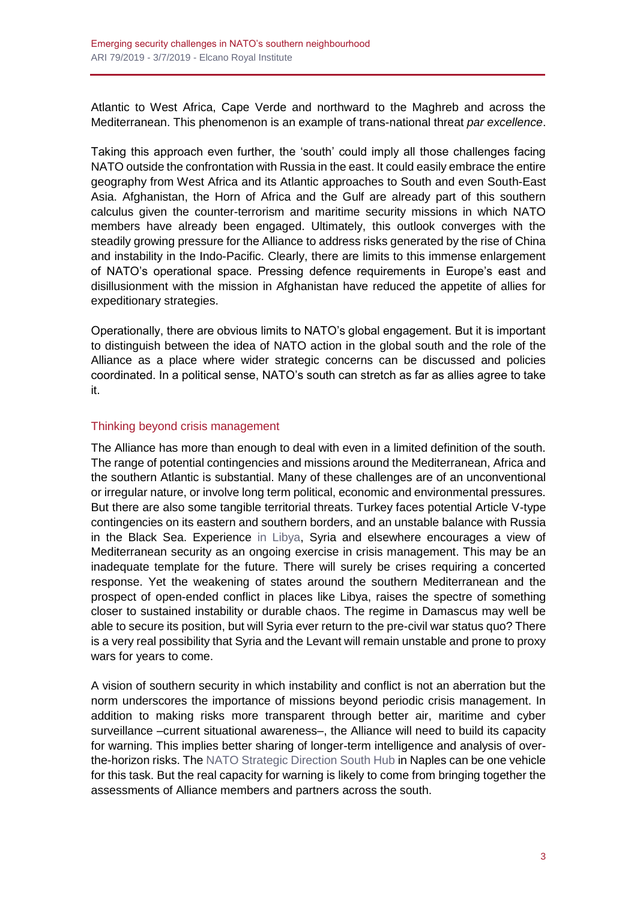Atlantic to West Africa, Cape Verde and northward to the Maghreb and across the Mediterranean. This phenomenon is an example of trans-national threat *par excellence*.

Taking this approach even further, the 'south' could imply all those challenges facing NATO outside the confrontation with Russia in the east. It could easily embrace the entire geography from West Africa and its Atlantic approaches to South and even South-East Asia. Afghanistan, the Horn of Africa and the Gulf are already part of this southern calculus given the counter-terrorism and maritime security missions in which NATO members have already been engaged. Ultimately, this outlook converges with the steadily growing pressure for the Alliance to address risks generated by the rise of China and instability in the Indo-Pacific. Clearly, there are limits to this immense enlargement of NATO's operational space. Pressing defence requirements in Europe's east and disillusionment with the mission in Afghanistan have reduced the appetite of allies for expeditionary strategies.

Operationally, there are obvious limits to NATO's global engagement. But it is important to distinguish between the idea of NATO action in the global south and the role of the Alliance as a place where wider strategic concerns can be discussed and policies coordinated. In a political sense, NATO's south can stretch as far as allies agree to take it.

### Thinking beyond crisis management

The Alliance has more than enough to deal with even in a limited definition of the south. The range of potential contingencies and missions around the Mediterranean, Africa and the southern Atlantic is substantial. Many of these challenges are of an unconventional or irregular nature, or involve long term political, economic and environmental pressures. But there are also some tangible territorial threats. Turkey faces potential Article V-type contingencies on its eastern and southern borders, and an unstable balance with Russia in the Black Sea. Experience [in Libya,](https://blog.realinstitutoelcano.org/en/libya-is-sinking-even-further-into-the-abyss/) Syria and elsewhere encourages a view of Mediterranean security as an ongoing exercise in crisis management. This may be an inadequate template for the future. There will surely be crises requiring a concerted response. Yet the weakening of states around the southern Mediterranean and the prospect of open-ended conflict in places like Libya, raises the spectre of something closer to sustained instability or durable chaos. The regime in Damascus may well be able to secure its position, but will Syria ever return to the pre-civil war status quo? There is a very real possibility that Syria and the Levant will remain unstable and prone to proxy wars for years to come.

A vision of southern security in which instability and conflict is not an aberration but the norm underscores the importance of missions beyond periodic crisis management. In addition to making risks more transparent through better air, maritime and cyber surveillance –current situational awareness–, the Alliance will need to build its capacity for warning. This implies better sharing of longer-term intelligence and analysis of overthe-horizon risks. Th[e NATO Strategic Direction South Hub](https://thesouthernhub.org/) in Naples can be one vehicle for this task. But the real capacity for warning is likely to come from bringing together the assessments of Alliance members and partners across the south.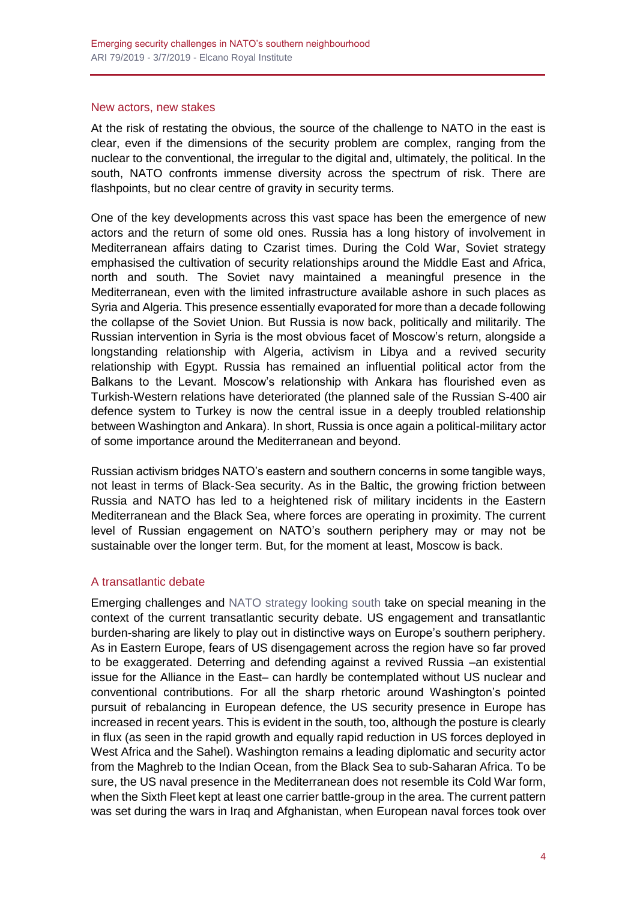#### New actors, new stakes

At the risk of restating the obvious, the source of the challenge to NATO in the east is clear, even if the dimensions of the security problem are complex, ranging from the nuclear to the conventional, the irregular to the digital and, ultimately, the political. In the south, NATO confronts immense diversity across the spectrum of risk. There are flashpoints, but no clear centre of gravity in security terms.

One of the key developments across this vast space has been the emergence of new actors and the return of some old ones. Russia has a long history of involvement in Mediterranean affairs dating to Czarist times. During the Cold War, Soviet strategy emphasised the cultivation of security relationships around the Middle East and Africa, north and south. The Soviet navy maintained a meaningful presence in the Mediterranean, even with the limited infrastructure available ashore in such places as Syria and Algeria. This presence essentially evaporated for more than a decade following the collapse of the Soviet Union. But Russia is now back, politically and militarily. The Russian intervention in Syria is the most obvious facet of Moscow's return, alongside a longstanding relationship with Algeria, activism in Libya and a revived security relationship with Egypt. Russia has remained an influential political actor from the Balkans to the Levant. Moscow's relationship with Ankara has flourished even as Turkish-Western relations have deteriorated (the planned sale of the Russian S-400 air defence system to Turkey is now the central issue in a deeply troubled relationship between Washington and Ankara). In short, Russia is once again a political-military actor of some importance around the Mediterranean and beyond.

Russian activism bridges NATO's eastern and southern concerns in some tangible ways, not least in terms of Black-Sea security. As in the Baltic, the growing friction between Russia and NATO has led to a heightened risk of military incidents in the Eastern Mediterranean and the Black Sea, where forces are operating in proximity. The current level of Russian engagement on NATO's southern periphery may or may not be sustainable over the longer term. But, for the moment at least, Moscow is back.

#### A transatlantic debate

Emerging challenges and [NATO strategy looking south](http://www.realinstitutoelcano.org/wps/portal/rielcano_en/contenido?WCM_GLOBAL_CONTEXT=/elcano/elcano_in/zonas_in/ari18-2018-becker-nato-south-opportunities-coherence-integration) take on special meaning in the context of the current transatlantic security debate. US engagement and transatlantic burden-sharing are likely to play out in distinctive ways on Europe's southern periphery. As in Eastern Europe, fears of US disengagement across the region have so far proved to be exaggerated. Deterring and defending against a revived Russia –an existential issue for the Alliance in the East– can hardly be contemplated without US nuclear and conventional contributions. For all the sharp rhetoric around Washington's pointed pursuit of rebalancing in European defence, the US security presence in Europe has increased in recent years. This is evident in the south, too, although the posture is clearly in flux (as seen in the rapid growth and equally rapid reduction in US forces deployed in West Africa and the Sahel). Washington remains a leading diplomatic and security actor from the Maghreb to the Indian Ocean, from the Black Sea to sub-Saharan Africa. To be sure, the US naval presence in the Mediterranean does not resemble its Cold War form, when the Sixth Fleet kept at least one carrier battle-group in the area. The current pattern was set during the wars in Iraq and Afghanistan, when European naval forces took over